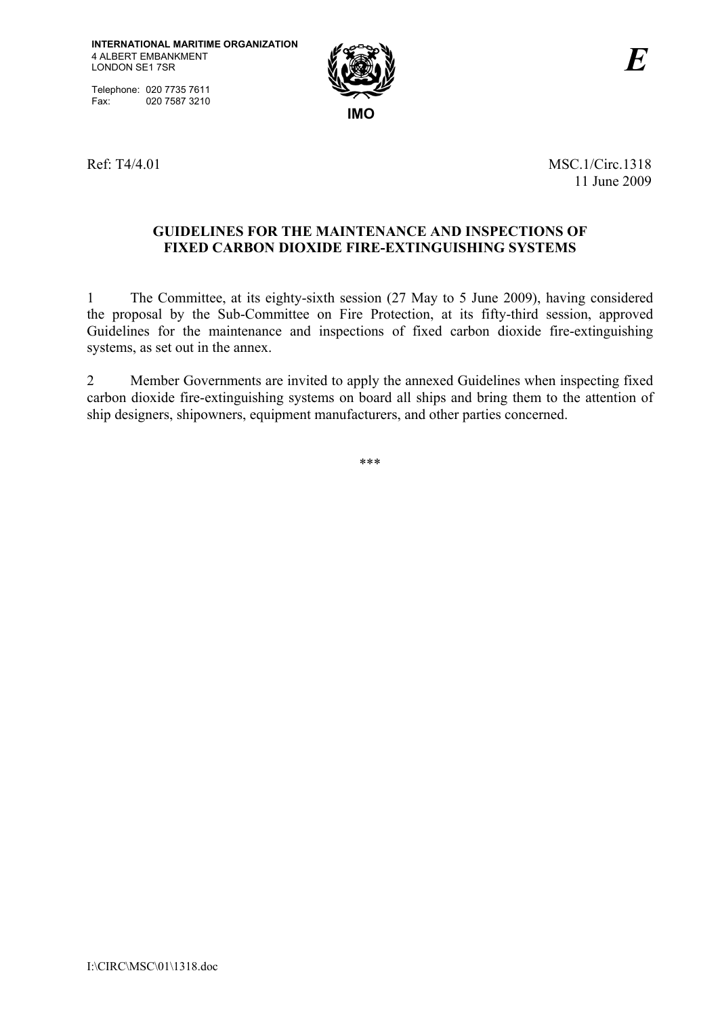Telephone: 020 7735 7611<br>Fax: 020 7587 3210 020 7587 3210



Ref: T4/4.01 MSC.1/Circ.1318 11 June 2009

## **GUIDELINES FOR THE MAINTENANCE AND INSPECTIONS OF FIXED CARBON DIOXIDE FIRE-EXTINGUISHING SYSTEMS**

1 The Committee, at its eighty-sixth session (27 May to 5 June 2009), having considered the proposal by the Sub-Committee on Fire Protection, at its fifty-third session, approved Guidelines for the maintenance and inspections of fixed carbon dioxide fire-extinguishing systems, as set out in the annex.

2 Member Governments are invited to apply the annexed Guidelines when inspecting fixed carbon dioxide fire-extinguishing systems on board all ships and bring them to the attention of ship designers, shipowners, equipment manufacturers, and other parties concerned.

\*\*\*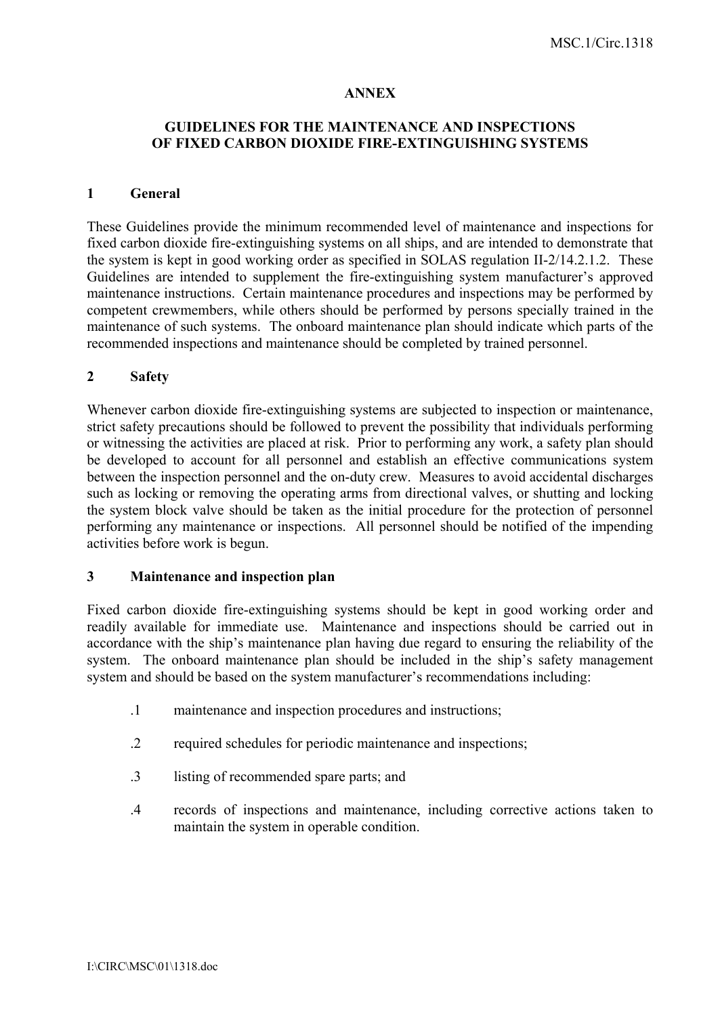#### **ANNEX**

## **GUIDELINES FOR THE MAINTENANCE AND INSPECTIONS OF FIXED CARBON DIOXIDE FIRE-EXTINGUISHING SYSTEMS**

#### **1 General**

These Guidelines provide the minimum recommended level of maintenance and inspections for fixed carbon dioxide fire-extinguishing systems on all ships, and are intended to demonstrate that the system is kept in good working order as specified in SOLAS regulation II-2/14.2.1.2. These Guidelines are intended to supplement the fire-extinguishing system manufacturer's approved maintenance instructions. Certain maintenance procedures and inspections may be performed by competent crewmembers, while others should be performed by persons specially trained in the maintenance of such systems. The onboard maintenance plan should indicate which parts of the recommended inspections and maintenance should be completed by trained personnel.

#### **2 Safety**

Whenever carbon dioxide fire-extinguishing systems are subjected to inspection or maintenance, strict safety precautions should be followed to prevent the possibility that individuals performing or witnessing the activities are placed at risk. Prior to performing any work, a safety plan should be developed to account for all personnel and establish an effective communications system between the inspection personnel and the on-duty crew. Measures to avoid accidental discharges such as locking or removing the operating arms from directional valves, or shutting and locking the system block valve should be taken as the initial procedure for the protection of personnel performing any maintenance or inspections. All personnel should be notified of the impending activities before work is begun.

### **3 Maintenance and inspection plan**

Fixed carbon dioxide fire-extinguishing systems should be kept in good working order and readily available for immediate use. Maintenance and inspections should be carried out in accordance with the ship's maintenance plan having due regard to ensuring the reliability of the system. The onboard maintenance plan should be included in the ship's safety management system and should be based on the system manufacturer's recommendations including:

- .1 maintenance and inspection procedures and instructions;
- .2 required schedules for periodic maintenance and inspections;
- .3 listing of recommended spare parts; and
- .4 records of inspections and maintenance, including corrective actions taken to maintain the system in operable condition.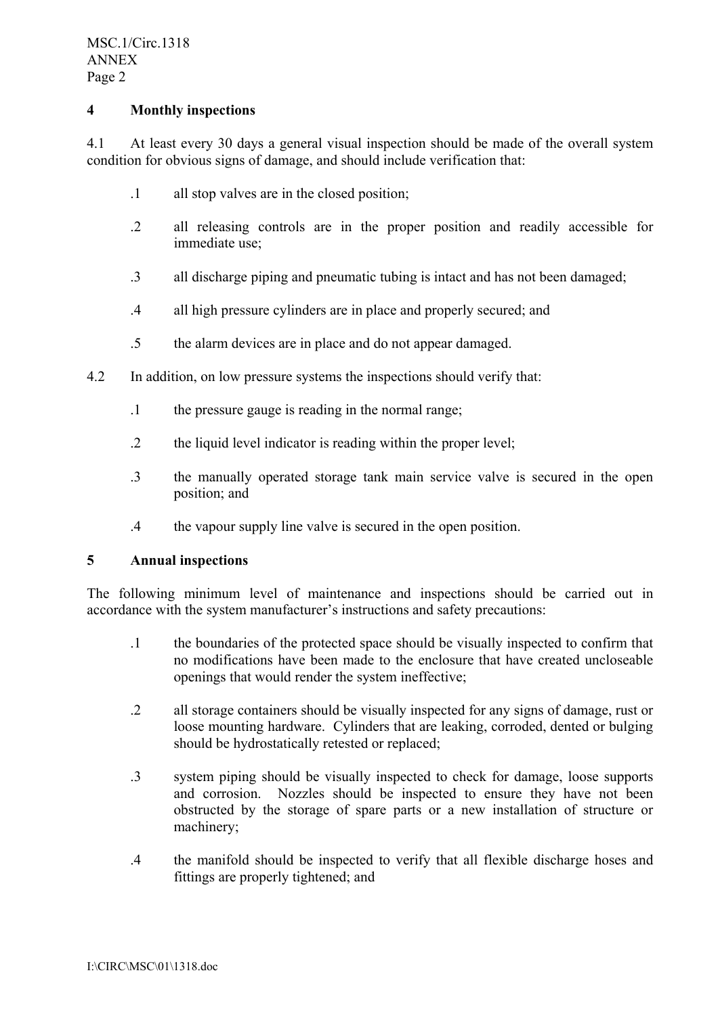MSC.1/Circ.1318 ANNEX Page 2

## **4 Monthly inspections**

4.1 At least every 30 days a general visual inspection should be made of the overall system condition for obvious signs of damage, and should include verification that:

- .1 all stop valves are in the closed position;
- .2 all releasing controls are in the proper position and readily accessible for immediate use;
- .3 all discharge piping and pneumatic tubing is intact and has not been damaged;
- .4 all high pressure cylinders are in place and properly secured; and
- .5 the alarm devices are in place and do not appear damaged.
- 4.2 In addition, on low pressure systems the inspections should verify that:
	- .1 the pressure gauge is reading in the normal range;
	- .2 the liquid level indicator is reading within the proper level;
	- .3 the manually operated storage tank main service valve is secured in the open position; and
	- .4 the vapour supply line valve is secured in the open position.

## **5 Annual inspections**

The following minimum level of maintenance and inspections should be carried out in accordance with the system manufacturer's instructions and safety precautions:

- .1 the boundaries of the protected space should be visually inspected to confirm that no modifications have been made to the enclosure that have created uncloseable openings that would render the system ineffective;
- .2 all storage containers should be visually inspected for any signs of damage, rust or loose mounting hardware. Cylinders that are leaking, corroded, dented or bulging should be hydrostatically retested or replaced;
- .3 system piping should be visually inspected to check for damage, loose supports and corrosion. Nozzles should be inspected to ensure they have not been obstructed by the storage of spare parts or a new installation of structure or machinery;
- .4 the manifold should be inspected to verify that all flexible discharge hoses and fittings are properly tightened; and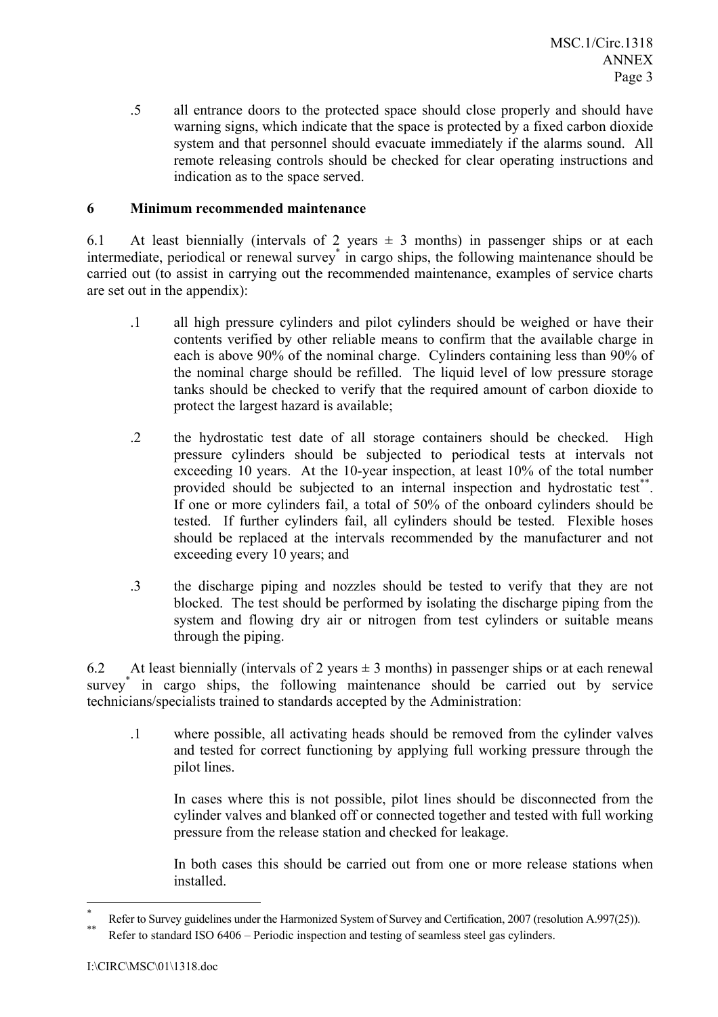.5 all entrance doors to the protected space should close properly and should have warning signs, which indicate that the space is protected by a fixed carbon dioxide system and that personnel should evacuate immediately if the alarms sound. All remote releasing controls should be checked for clear operating instructions and indication as to the space served.

## **6 Minimum recommended maintenance**

6.1 At least biennially (intervals of 2 years  $\pm$  3 months) in passenger ships or at each intermediate, periodical or renewal survey<sup>\*</sup> in cargo ships, the following maintenance should be carried out (to assist in carrying out the recommended maintenance, examples of service charts are set out in the appendix):

- .1 all high pressure cylinders and pilot cylinders should be weighed or have their contents verified by other reliable means to confirm that the available charge in each is above 90% of the nominal charge. Cylinders containing less than 90% of the nominal charge should be refilled. The liquid level of low pressure storage tanks should be checked to verify that the required amount of carbon dioxide to protect the largest hazard is available;
- .2 the hydrostatic test date of all storage containers should be checked. High pressure cylinders should be subjected to periodical tests at intervals not exceeding 10 years. At the 10-year inspection, at least 10% of the total number provided should be subjected to an internal inspection and hydrostatic test<sup>\*\*</sup>. If one or more cylinders fail, a total of 50% of the onboard cylinders should be tested. If further cylinders fail, all cylinders should be tested. Flexible hoses should be replaced at the intervals recommended by the manufacturer and not exceeding every 10 years; and
- .3 the discharge piping and nozzles should be tested to verify that they are not blocked. The test should be performed by isolating the discharge piping from the system and flowing dry air or nitrogen from test cylinders or suitable means through the piping.

6.2 At least biennially (intervals of 2 years  $\pm$  3 months) in passenger ships or at each renewal survey<sup>\*</sup> in cargo ships, the following maintenance should be carried out by service technicians/specialists trained to standards accepted by the Administration:

.1 where possible, all activating heads should be removed from the cylinder valves and tested for correct functioning by applying full working pressure through the pilot lines.

In cases where this is not possible, pilot lines should be disconnected from the cylinder valves and blanked off or connected together and tested with full working pressure from the release station and checked for leakage.

In both cases this should be carried out from one or more release stations when installed.

 $\overline{a}$ 

<sup>\*</sup> Refer to Survey guidelines under the Harmonized System of Survey and Certification, 2007 (resolution A.997(25)).<br>Refer to standard ISO 6406 – Periodic inspection and testing of seamless steel gas cylinders.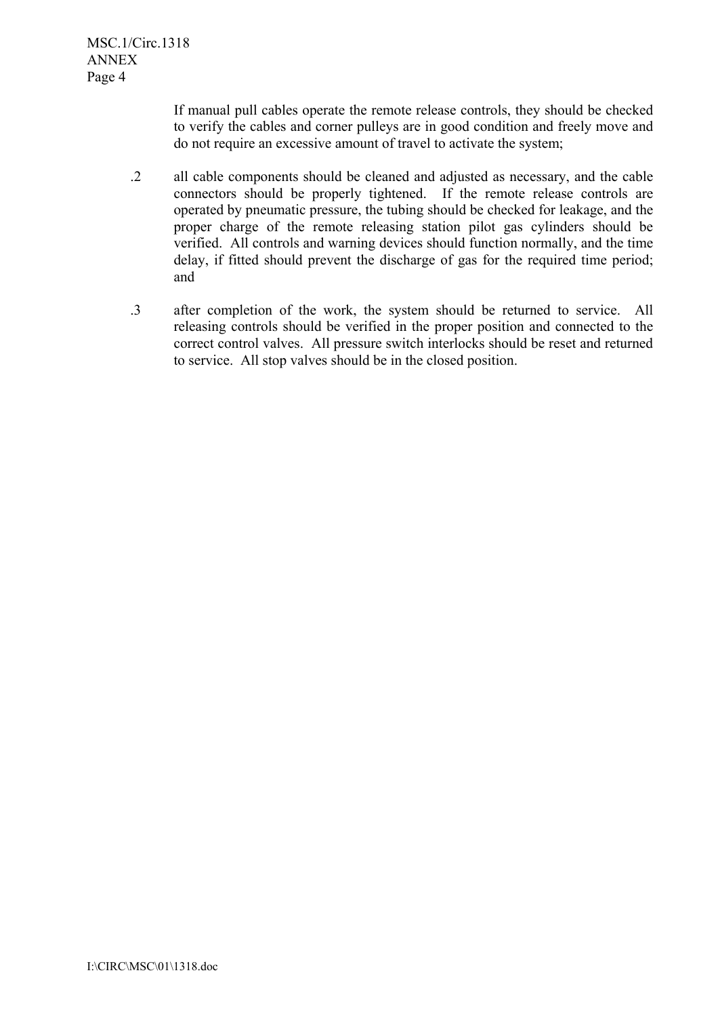If manual pull cables operate the remote release controls, they should be checked to verify the cables and corner pulleys are in good condition and freely move and do not require an excessive amount of travel to activate the system;

- .2 all cable components should be cleaned and adjusted as necessary, and the cable connectors should be properly tightened. If the remote release controls are operated by pneumatic pressure, the tubing should be checked for leakage, and the proper charge of the remote releasing station pilot gas cylinders should be verified. All controls and warning devices should function normally, and the time delay, if fitted should prevent the discharge of gas for the required time period; and
- .3 after completion of the work, the system should be returned to service. All releasing controls should be verified in the proper position and connected to the correct control valves. All pressure switch interlocks should be reset and returned to service. All stop valves should be in the closed position.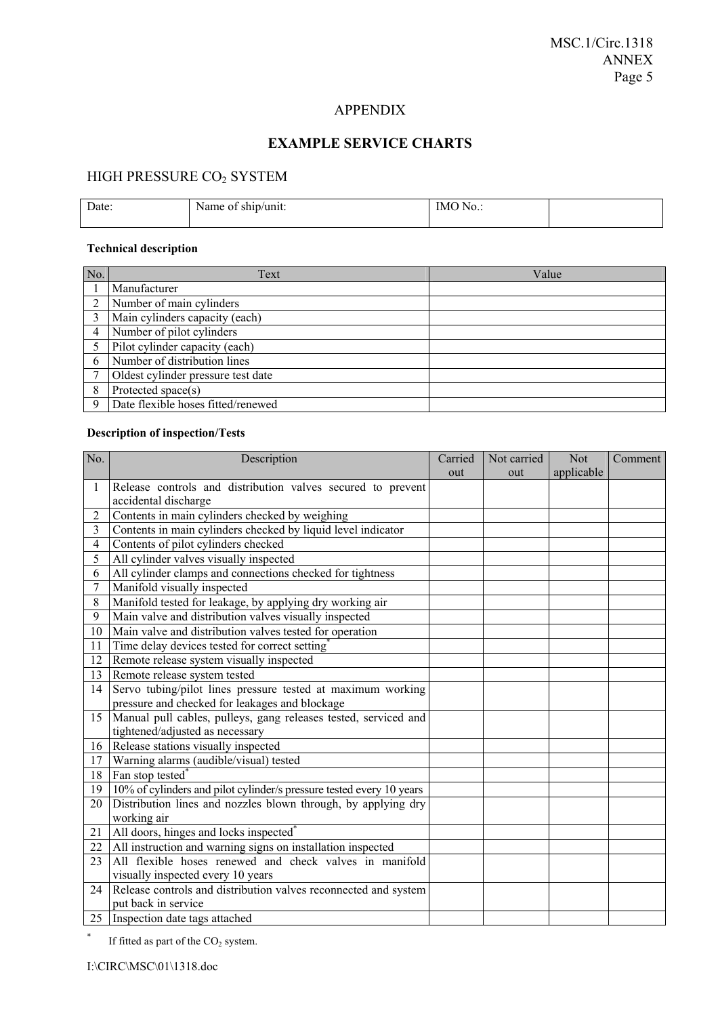#### APPENDIX

## **EXAMPLE SERVICE CHARTS**

# HIGH PRESSURE CO2 SYSTEM

| Date: | Name of ship/unit: | IMO No.: |  |
|-------|--------------------|----------|--|
|       |                    |          |  |

#### **Technical description**

| No. | Text                               | Value |
|-----|------------------------------------|-------|
|     | Manufacturer                       |       |
|     | Number of main cylinders           |       |
|     | Main cylinders capacity (each)     |       |
|     | Number of pilot cylinders          |       |
|     | Pilot cylinder capacity (each)     |       |
|     | Number of distribution lines       |       |
|     | Oldest cylinder pressure test date |       |
|     | Protected space(s)                 |       |
|     | Date flexible hoses fitted/renewed |       |

#### **Description of inspection/Tests**

| No.            | Description                                                                         | Carried<br>out | Not carried<br>out | <b>Not</b><br>applicable | Comment |
|----------------|-------------------------------------------------------------------------------------|----------------|--------------------|--------------------------|---------|
| 1              | Release controls and distribution valves secured to prevent<br>accidental discharge |                |                    |                          |         |
| $\overline{2}$ | Contents in main cylinders checked by weighing                                      |                |                    |                          |         |
| 3              | Contents in main cylinders checked by liquid level indicator                        |                |                    |                          |         |
| $\overline{4}$ | Contents of pilot cylinders checked                                                 |                |                    |                          |         |
| 5              | All cylinder valves visually inspected                                              |                |                    |                          |         |
| 6              | All cylinder clamps and connections checked for tightness                           |                |                    |                          |         |
| $\overline{7}$ | Manifold visually inspected                                                         |                |                    |                          |         |
| 8              | Manifold tested for leakage, by applying dry working air                            |                |                    |                          |         |
| 9              | Main valve and distribution valves visually inspected                               |                |                    |                          |         |
| 10             | Main valve and distribution valves tested for operation                             |                |                    |                          |         |
| 11             | Time delay devices tested for correct setting <sup>*</sup>                          |                |                    |                          |         |
| 12             | Remote release system visually inspected                                            |                |                    |                          |         |
| 13             | Remote release system tested                                                        |                |                    |                          |         |
| 14             | Servo tubing/pilot lines pressure tested at maximum working                         |                |                    |                          |         |
|                | pressure and checked for leakages and blockage                                      |                |                    |                          |         |
| 15             | Manual pull cables, pulleys, gang releases tested, serviced and                     |                |                    |                          |         |
|                | tightened/adjusted as necessary                                                     |                |                    |                          |         |
|                | 16 Release stations visually inspected                                              |                |                    |                          |         |
| 17             | Warning alarms (audible/visual) tested                                              |                |                    |                          |         |
|                | 18 Fan stop tested*                                                                 |                |                    |                          |         |
| 19             | 10% of cylinders and pilot cylinder/s pressure tested every 10 years                |                |                    |                          |         |
| 20             | Distribution lines and nozzles blown through, by applying dry                       |                |                    |                          |         |
|                | working air                                                                         |                |                    |                          |         |
| 21             | All doors, hinges and locks inspected <sup>*</sup>                                  |                |                    |                          |         |
| 22             | All instruction and warning signs on installation inspected                         |                |                    |                          |         |
| 23             | All flexible hoses renewed and check valves in manifold                             |                |                    |                          |         |
|                | visually inspected every 10 years                                                   |                |                    |                          |         |
| 24             | Release controls and distribution valves reconnected and system                     |                |                    |                          |         |
|                | put back in service                                                                 |                |                    |                          |         |
|                | 25   Inspection date tags attached                                                  |                |                    |                          |         |

\* If fitted as part of the  $CO<sub>2</sub>$  system.